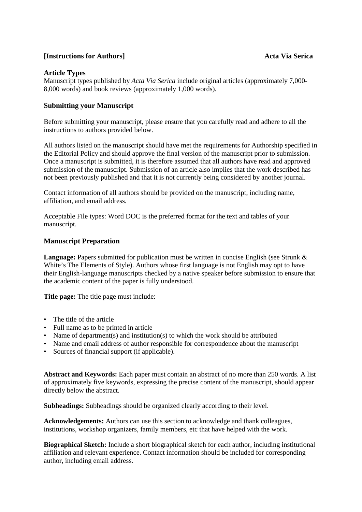# **[Instructions for Authors]** Acta Via Serica

# **Article Types**

Manuscript types published by *Acta Via Serica* include original articles (approximately 7,000- 8,000 words) and book reviews (approximately 1,000 words).

# **Submitting your Manuscript**

Before submitting your manuscript, please ensure that you carefully read and adhere to all the instructions to authors provided below.

All authors listed on the manuscript should have met the requirements for Authorship specified in the Editorial Policy and should approve the final version of the manuscript prior to submission. Once a manuscript is submitted, it is therefore assumed that all authors have read and approved submission of the manuscript. Submission of an article also implies that the work described has not been previously published and that it is not currently being considered by another journal.

Contact information of all authors should be provided on the manuscript, including name, affiliation, and email address.

Acceptable File types: Word DOC is the preferred format for the text and tables of your manuscript.

## **Manuscript Preparation**

Language: Papers submitted for publication must be written in concise English (see Strunk & White's The Elements of Style). Authors whose first language is not English may opt to have their English-language manuscripts checked by a native speaker before submission to ensure that the academic content of the paper is fully understood.

**Title page:** The title page must include:

- The title of the article
- Full name as to be printed in article
- Name of department(s) and institution(s) to which the work should be attributed
- Name and email address of author responsible for correspondence about the manuscript
- Sources of financial support (if applicable).

**Abstract and Keywords:** Each paper must contain an abstract of no more than 250 words. A list of approximately five keywords, expressing the precise content of the manuscript, should appear directly below the abstract.

**Subheadings:** Subheadings should be organized clearly according to their level.

**Acknowledgements:** Authors can use this section to acknowledge and thank colleagues, institutions, workshop organizers, family members, etc that have helped with the work.

**Biographical Sketch:** Include a short biographical sketch for each author, including institutional affiliation and relevant experience. Contact information should be included for corresponding author, including email address.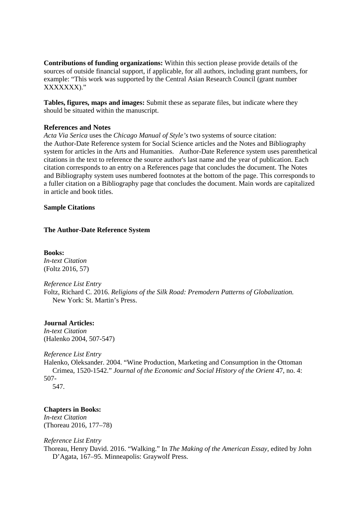**Contributions of funding organizations:** Within this section please provide details of the sources of outside financial support, if applicable, for all authors, including grant numbers, for example: "This work was supported by the Central Asian Research Council (grant number XXXXXXX)."

**Tables, figures, maps and images:** Submit these as separate files, but indicate where they should be situated within the manuscript.

### **References and Notes**

*Acta Via Serica* uses the *Chicago Manual of Style's* two systems of source citation: the Author-Date Reference system for Social Science articles and the Notes and Bibliography system for articles in the Arts and Humanities. Author-Date Reference system uses parenthetical citations in the text to reference the source author's last name and the year of publication. Each citation corresponds to an entry on a References page that concludes the document. The Notes and Bibliography system uses numbered footnotes at the bottom of the page. This corresponds to a fuller citation on a Bibliography page that concludes the document. Main words are capitalized in article and book titles.

#### **Sample Citations**

## **The Author-Date Reference System**

**Books:** *In-text Citation* (Foltz 2016, 57)

*Reference List Entry* Foltz, Richard C. 2016. *Religions of the Silk Road: Premodern Patterns of Globalization.* New York: St. Martin's Press.

## **Journal Articles:**

*In-text Citation* (Halenko 2004, 507-547)

#### *Reference List Entry*

Halenko, Oleksander. 2004. "Wine Production, Marketing and Consumption in the Ottoman Crimea, 1520-1542." *Journal of the Economic and Social History of the Orient* 47, no. 4: 507-

547.

## **Chapters in Books:**

*In-text Citation* (Thoreau 2016, 177–78)

#### *Reference List Entry*

Thoreau, Henry David. 2016. "Walking." In *The Making of the American Essay,* edited by John D'Agata, 167–95. Minneapolis: Graywolf Press.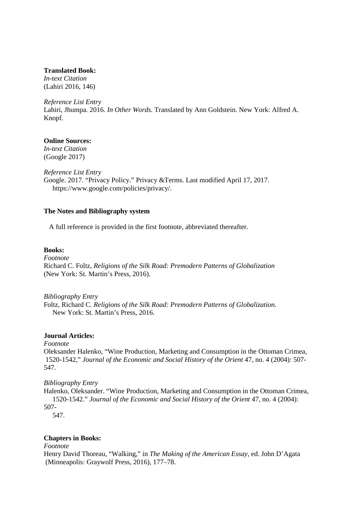# **Translated Book:**

*In-text Citation* (Lahiri 2016, 146)

### *Reference List Entry*

Lahiri, Jhumpa. 2016. *In Other Words.* Translated by Ann Goldstein. New York: Alfred A. Knopf.

## **Online Sources:**

*In-text Citation* (Google 2017)

*Reference List Entry*

Google. 2017. "Privacy Policy." Privacy &Terms. Last modified April 17, 2017. https://www.google.com/policies/privacy/.

## **The Notes and Bibliography system**

A full reference is provided in the first footnote, abbreviated thereafter.

# **Books:**

*Footnote*

Richard C. Foltz, *Religions of the Silk Road: Premodern Patterns of Globalization* (New York: St. Martin's Press, 2016).

*Bibliography Entry*

Foltz, Richard C. *Religions of the Silk Road: Premodern Patterns of Globalization.* New York: St. Martin's Press, 2016.

## **Journal Articles:**

*Footnote*

Oleksander Halenko, "Wine Production, Marketing and Consumption in the Ottoman Crimea, 1520-1542," *Journal of the Economic and Social History of the Orient* 47, no. 4 (2004): 507- 547.

## *Bibliography Entry*

Halenko, Oleksander. "Wine Production, Marketing and Consumption in the Ottoman Crimea, 1520-1542." *Journal of the Economic and Social History of the Orient* 47, no. 4 (2004): 507-

547.

## **Chapters in Books:**

*Footnote*

Henry David Thoreau, "Walking," in *The Making of the American Essay,* ed. John D'Agata (Minneapolis: Graywolf Press, 2016), 177–78.